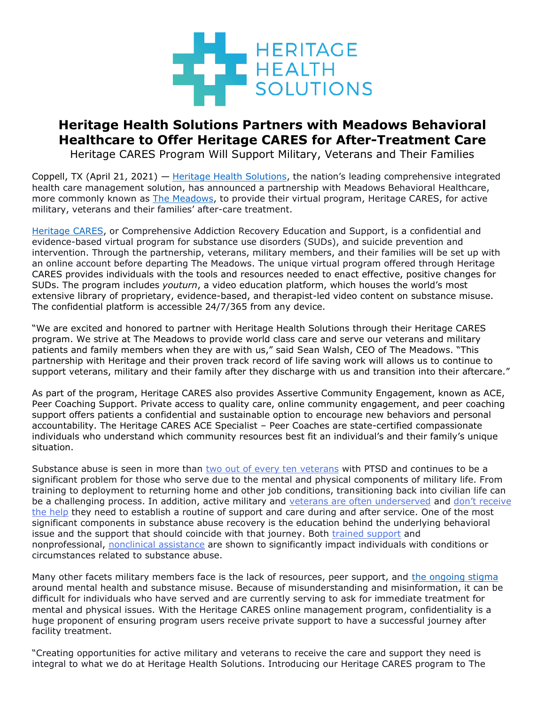

## **Heritage Health Solutions Partners with Meadows Behavioral Healthcare to Offer Heritage CARES for After-Treatment Care**

Heritage CARES Program Will Support Military, Veterans and Their Families

Coppell, TX (April 21, 2021) — [Heritage Health Solutions](https://heritagehealthsolutions.com/), the nation's leading comprehensive integrated health care management solution, has announced a partnership with Meadows Behavioral Healthcare, more commonly known as [The Meadows,](https://www.themeadows.com/) to provide their virtual program, Heritage CARES, for active military, veterans and their families' after-care treatment.

[Heritage](https://heritagehealthsolutions.com/heritage-cares/) CARES, or Comprehensive Addiction Recovery Education and Support, is a confidential and evidence-based virtual program for substance use disorders (SUDs), and suicide prevention and intervention. Through the partnership, veterans, military members, and their families will be set up with an online account before departing The Meadows. The unique virtual program offered through Heritage CARES provides individuals with the tools and resources needed to enact effective, positive changes for SUDs. The program includes *youturn*, a video education platform, which houses the world's most extensive library of proprietary, evidence-based, and therapist-led video content on substance misuse. The confidential platform is accessible 24/7/365 from any device.

"We are excited and honored to partner with Heritage Health Solutions through their Heritage CARES program. We strive at The Meadows to provide world class care and serve our veterans and military patients and family members when they are with us," said Sean Walsh, CEO of The Meadows. "This partnership with Heritage and their proven track record of life saving work will allows us to continue to support veterans, military and their family after they discharge with us and transition into their aftercare."

As part of the program, Heritage CARES also provides Assertive Community Engagement, known as ACE, Peer Coaching Support. Private access to quality care, online community engagement, and peer coaching support offers patients a confidential and sustainable option to encourage new behaviors and personal accountability. The Heritage CARES ACE Specialist – Peer Coaches are state-certified compassionate individuals who understand which community resources best fit an individual's and their family's unique situation.

Substance abuse is seen in more than [two out of every ten veterans](https://www.ptsd.va.gov/understand/related/substance_abuse_vet.asp) with PTSD and continues to be a significant problem for those who serve due to the mental and physical components of military life. From training to deployment to returning home and other job conditions, transitioning back into civilian life can be a challenging process. In addition, active military and [veterans are often underserved](https://www.cnn.com/2018/02/01/health/veterans-mental-health-care-federal-investigation/index.html) and [don't receive](https://www.washingtonpost.com/opinions/we-arent-doing-enough-to-help-veterans-transition-to-civilian-life/2014/04/02/d43189e2-b52a-11e3-b899-20667de76985_story.html)  [the help](https://www.washingtonpost.com/opinions/we-arent-doing-enough-to-help-veterans-transition-to-civilian-life/2014/04/02/d43189e2-b52a-11e3-b899-20667de76985_story.html) they need to establish a routine of support and care during and after service. One of the most significant components in substance abuse recovery is the education behind the underlying behavioral issue and the support that should coincide with that journey. Both [trained support](https://www.drugabuse.gov/publications/drugfacts/treatment-approaches-drug-addiction) and nonprofessional, [nonclinical assistance](https://journals.sagepub.com/doi/full/10.1177/1178221819833379) are shown to significantly impact individuals with conditions or circumstances related to substance abuse.

Many other facets military members face is the lack of resources, peer support, and [the ongoing stigma](https://www.ncbi.nlm.nih.gov/books/NBK384923/) around mental health and substance misuse. Because of misunderstanding and misinformation, it can be difficult for individuals who have served and are currently serving to ask for immediate treatment for mental and physical issues. With the Heritage CARES online management program, confidentiality is a huge proponent of ensuring program users receive private support to have a successful journey after facility treatment.

"Creating opportunities for active military and veterans to receive the care and support they need is integral to what we do at Heritage Health Solutions. Introducing our Heritage CARES program to The